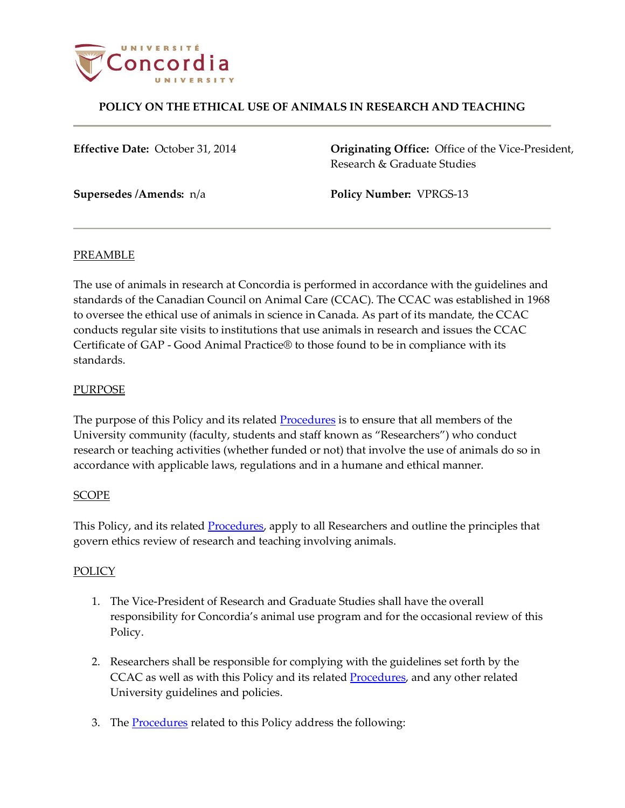

# **POLICY ON THE ETHICAL USE OF ANIMALS IN RESEARCH AND TEACHING**

**Effective Date:** October 31, 2014 **Originating Office:** Office of the Vice-President, Research & Graduate Studies

**Supersedes /Amends:** n/a **Policy Number:** VPRGS-13

### PREAMBLE

The use of animals in research at Concordia is performed in accordance with the guidelines and standards of the Canadian Council on Animal Care (CCAC). The CCAC was established in 1968 to oversee the ethical use of animals in science in Canada. As part of its mandate, the CCAC conducts regular site visits to institutions that use animals in research and issues the CCAC Certificate of GAP - Good Animal Practice® to those found to be in compliance with its standards.

### PURPOSE

The purpose of this Policy and its related **Procedures** is to ensure that all members of the University community (faculty, students and staff known as "Researchers") who conduct research or teaching activities (whether funded or not) that involve the use of animals do so in accordance with applicable laws, regulations and in a humane and ethical manner.

### **SCOPE**

This Policy, and its related **Procedures**, apply to all Researchers and outline the principles that govern ethics review of research and teaching involving animals.

### POLICY

- 1. The Vice-President of Research and Graduate Studies shall have the overall responsibility for Concordia's animal use program and for the occasional review of this Policy.
- 2. Researchers shall be responsible for complying with the guidelines set forth by the CCAC as well as with this Policy and its related **Procedures**, and any other related University guidelines and policies.
- 3. The **Procedures** related to this Policy address the following: